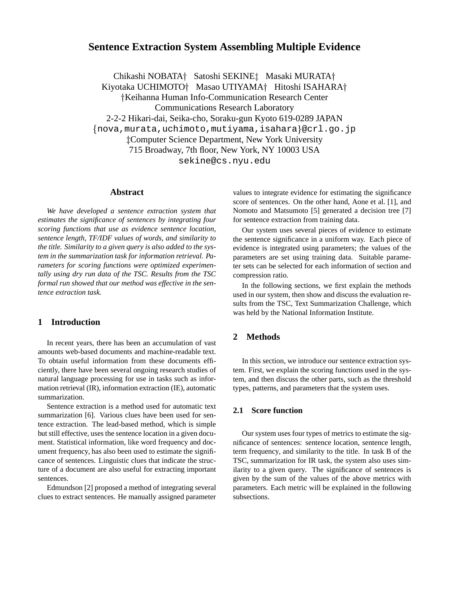# **Sentence Extraction System Assembling Multiple Evidence**

Chikashi NOBATA† Satoshi SEKINE‡ Masaki MURATA† Kiyotaka UCHIMOTO† Masao UTIYAMA† Hitoshi ISAHARA† Keihanna Human Info-Communication Research Center Communications Research Laboratory 2-2-2 Hikari-dai, Seika-cho, Soraku-gun Kyoto 619-0289 JAPAN - nova,murata,uchimoto,mutiyama,isahara @crl.go.jp Computer Science Department, New York University 715 Broadway, 7th floor, New York, NY 10003 USA sekine@cs.nyu.edu

### **Abstract**

*We have developed a sentence extraction system that estimates the significance of sentences by integrating four scoring functions that use as evidence sentence location, sentence length, TF/IDF values of words, and similarity to the title. Similarity to a given query is also added to the system in the summarization task for information retrieval. Parameters for scoring functions were optimized experimentally using dry run data of the TSC. Results from the TSC formal run showed that our method was effective in the sentence extraction task.*

## **1 Introduction**

In recent years, there has been an accumulation of vast amounts web-based documents and machine-readable text. To obtain useful information from these documents efficiently, there have been several ongoing research studies of natural language processing for use in tasks such as information retrieval (IR), information extraction (IE), automatic summarization.

Sentence extraction is a method used for automatic text summarization [6]. Various clues have been used for sentence extraction. The lead-based method, which is simple but still effective, uses the sentence location in a given document. Statistical information, like word frequency and document frequency, has also been used to estimate the significance of sentences. Linguistic clues that indicate the structure of a document are also useful for extracting important sentences.

Edmundson [2] proposed a method of integrating several clues to extract sentences. He manually assigned parameter

values to integrate evidence for estimating the significance score of sentences. On the other hand, Aone et al. [1], and Nomoto and Matsumoto [5] generated a decision tree [7] for sentence extraction from training data.

Our system uses several pieces of evidence to estimate the sentence significance in a uniform way. Each piece of evidence is integrated using parameters; the values of the parameters are set using training data. Suitable parameter sets can be selected for each information of section and compression ratio.

In the following sections, we first explain the methods used in our system, then show and discuss the evaluation results from the TSC, Text Summarization Challenge, which was held by the National Information Institute.

## **2 Methods**

In this section, we introduce our sentence extraction system. First, we explain the scoring functions used in the system, and then discuss the other parts, such as the threshold types, patterns, and parameters that the system uses.

### **2.1 Score function**

Our system uses four types of metrics to estimate the significance of sentences: sentence location, sentence length, term frequency, and similarity to the title. In task B of the TSC, summarization for IR task, the system also uses similarity to a given query. The significance of sentences is given by the sum of the values of the above metrics with parameters. Each metric will be explained in the following subsections.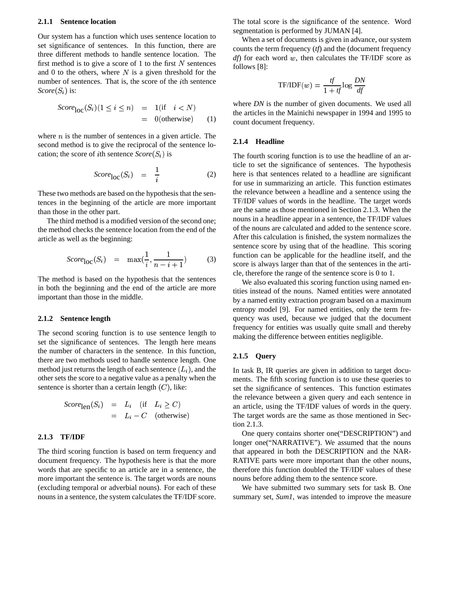#### **2.1.1 Sentence location**

Our system has a function which uses sentence location to set significance of sentences. In this function, there are three different methods to handle sentence location. The first method is to give a score of 1 to the first  $N$  sentences and 0 to the others, where  $N$  is a given threshold for the number of sentences. That is, the score of the *i*th sentence  $Score(S_i)$  is:

$$
Score_{\text{loc}}(S_i)(1 \le i \le n) = 1(\text{if } i < N)
$$
  
= 0(otherwise) (1)

where  $n$  is the number of sentences in a given article. The second method is to give the reciprocal of the sentence location; the score of *i*th sentence  $Score(S_i)$  is

$$
Score_{\text{loc}}(S_i) = \frac{1}{i} \tag{2}
$$

These two methods are based on the hypothesis that the sentences in the beginning of the article are more important than those in the other part.

The third method is a modified version of the second one; the method checks the sentence location from the end of the article as well as the beginning:

$$
Score_{\text{loc}}(S_i) = \max(\frac{1}{i}, \frac{1}{n-i+1})
$$
 (3)

The method is based on the hypothesis that the sentences in both the beginning and the end of the article are more important than those in the middle.

#### **2.1.2 Sentence length**

The second scoring function is to use sentence length to set the significance of sentences. The length here means the number of characters in the sentence. In this function, there are two methods used to handle sentence length. One method just returns the length of each sentence  $(L_i)$ , and the other sets the score to a negative value as a penalty when the sentence is shorter than a certain length  $(C)$ , like:

$$
Score_{\text{len}}(S_i) = L_i \quad (\text{if} \quad L_i \ge C)
$$
  
=  $L_i - C \quad (\text{otherwise})$ 

#### **2.1.3 TF/IDF**

The third scoring function is based on term frequency and document frequency. The hypothesis here is that the more words that are specific to an article are in a sentence, the more important the sentence is. The target words are nouns (excluding temporal or adverbial nouns). For each of these nouns in a sentence, the system calculates the TF/IDF score. The total score is the significance of the sentence. Word segmentation is performed by JUMAN [4].

When a set of documents is given in advance, our system counts the term frequency (*tf*) and the (document frequency  $df$ ) for each word  $w$ , then calculates the TF/IDF score as follows [8]:

$$
\text{TF/IDF}(w) = \frac{tf}{1 + tf} \log \frac{DN}{df}
$$

where *DN* is the number of given documents. We used all the articles in the Mainichi newspaper in 1994 and 1995 to count document frequency.

### **2.1.4 Headline**

The fourth scoring function is to use the headline of an article to set the significance of sentences. The hypothesis here is that sentences related to a headline are significant for use in summarizing an article. This function estimates the relevance between a headline and a sentence using the TF/IDF values of words in the headline. The target words are the same as those mentioned in Section 2.1.3. When the nouns in a headline appear in a sentence, the TF/IDF values of the nouns are calculated and added to the sentence score. After this calculation is finished, the system normalizes the sentence score by using that of the headline. This scoring function can be applicable for the headline itself, and the score is always larger than that of the sentences in the article, therefore the range of the sentence score is 0 to 1.

We also evaluated this scoring function using named entities instead of the nouns. Named entities were annotated by a named entity extraction program based on a maximum entropy model [9]. For named entities, only the term frequency was used, because we judged that the document frequency for entities was usually quite small and thereby making the difference between entities negligible.

#### **2.1.5 Query**

In task B, IR queries are given in addition to target documents. The fifth scoring function is to use these queries to set the significance of sentences. This function estimates the relevance between a given query and each sentence in an article, using the TF/IDF values of words in the query. The target words are the same as those mentioned in Section 2.1.3.

One query contains shorter one("DESCRIPTION") and longer one("NARRATIVE"). We assumed that the nouns that appeared in both the DESCRIPTION and the NAR-RATIVE parts were more important than the other nouns, therefore this function doubled the TF/IDF values of these nouns before adding them to the sentence score.

We have submitted two summary sets for task B. One summary set, *Sum1*, was intended to improve the measure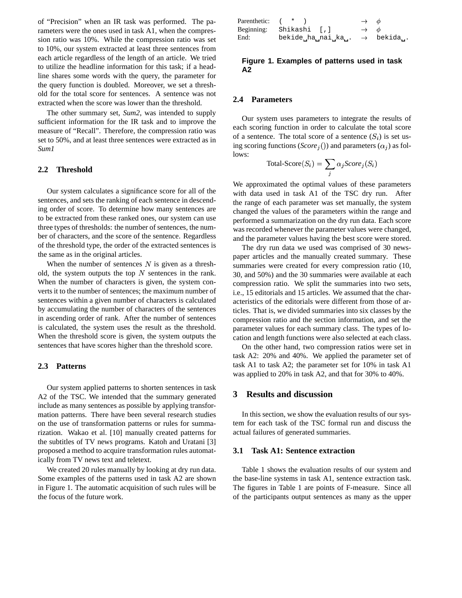of "Precision" when an IR task was performed. The parameters were the ones used in task A1, when the compression ratio was 10%. While the compression ratio was set to 10%, our system extracted at least three sentences from each article regardless of the length of an article. We tried to utilize the headline information for this task; if a headline shares some words with the query, the parameter for the query function is doubled. Moreover, we set a threshold for the total score for sentences. A sentence was not extracted when the score was lower than the threshold.

The other summary set, *Sum2*, was intended to supply sufficient information for the IR task and to improve the measure of "Recall". Therefore, the compression ratio was set to 50%, and at least three sentences were extracted as in *Sum1*

## **2.2 Threshold**

Our system calculates a significance score for all of the sentences, and sets the ranking of each sentence in descending order of score. To determine how many sentences are to be extracted from these ranked ones, our system can use three types of thresholds: the number of sentences, the number of characters, and the score of the sentence. Regardless of the threshold type, the order of the extracted sentences is the same as in the original articles.

When the number of sentences  $N$  is given as a threshold, the system outputs the top  $N$  sentences in the rank. When the number of characters is given, the system converts it to the number of sentences; the maximum number of sentences within a given number of characters is calculated by accumulating the number of characters of the sentences in ascending order of rank. After the number of sentences is calculated, the system uses the result as the threshold. When the threshold score is given, the system outputs the sentences that have scores higher than the threshold score.

#### **2.3 Patterns**

Our system applied patterns to shorten sentences in task A2 of the TSC. We intended that the summary generated include as many sentences as possible by applying transformation patterns. There have been several research studies on the use of transformation patterns or rules for summarization. Wakao et al. [10] manually created patterns for the subtitles of TV news programs. Katoh and Uratani [3] proposed a method to acquire transformation rules automatically from TV news text and teletext.

We created 20 rules manually by looking at dry run data. Some examples of the patterns used in task A2 are shown in Figure 1. The automatic acquisition of such rules will be the focus of the future work.

| Parenthetic: ( * ) |                               | $\rightarrow$ $\phi$ |  |
|--------------------|-------------------------------|----------------------|--|
|                    | Beginning: Shikashi [,]       | $\rightarrow$ $\phi$ |  |
| End:               | bekide_ha_nai_ka_. → bekida_. |                      |  |

### **Figure 1. Examples of patterns used in task A2**

### **2.4 Parameters**

Our system uses parameters to integrate the results of each scoring function in order to calculate the total score of a sentence. The total score of a sentence  $(S_i)$  is set using scoring functions (*Score*<sub>i</sub>()) and parameters ( $\alpha_i$ ) as follows:

$$
Total-Score(S_i) = \sum_{j} \alpha_j Score_j(S_i)
$$

We approximated the optimal values of these parameters with data used in task A1 of the TSC dry run. After the range of each parameter was set manually, the system changed the values of the parameters within the range and performed a summarization on the dry run data. Each score was recorded whenever the parameter values were changed, and the parameter values having the best score were stored.

The dry run data we used was comprised of 30 newspaper articles and the manually created summary. These summaries were created for every compression ratio (10, 30, and 50%) and the 30 summaries were available at each compression ratio. We split the summaries into two sets, i.e., 15 editorials and 15 articles. We assumed that the characteristics of the editorials were different from those of articles. That is, we divided summaries into six classes by the compression ratio and the section information, and set the parameter values for each summary class. The types of location and length functions were also selected at each class.

On the other hand, two compression ratios were set in task A2: 20% and 40%. We applied the parameter set of task A1 to task A2; the parameter set for 10% in task A1 was applied to 20% in task A2, and that for 30% to 40%.

## **3 Results and discussion**

In this section, we show the evaluation results of our system for each task of the TSC formal run and discuss the actual failures of generated summaries.

#### **3.1 Task A1: Sentence extraction**

Table 1 shows the evaluation results of our system and the base-line systems in task A1, sentence extraction task. The figures in Table 1 are points of F-measure. Since all of the participants output sentences as many as the upper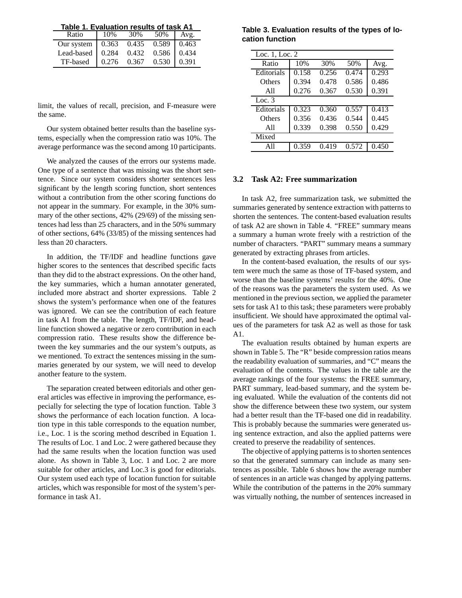**Table 1. Evaluation results of task A1**

| Ratio                                | 10% | 30% | 50% Avg. |  |
|--------------------------------------|-----|-----|----------|--|
| Our system   0.363 0.435 0.589 0.463 |     |     |          |  |
| Lead-based 0.284 0.432 0.586 0.434   |     |     |          |  |
| TF-based 0.276 0.367 0.530 0.391     |     |     |          |  |

limit, the values of recall, precision, and F-measure were the same.

Our system obtained better results than the baseline systems, especially when the compression ratio was 10%. The average performance was the second among 10 participants.

We analyzed the causes of the errors our systems made. One type of a sentence that was missing was the short sentence. Since our system considers shorter sentences less significant by the length scoring function, short sentences without a contribution from the other scoring functions do not appear in the summary. For example, in the 30% summary of the other sections, 42% (29/69) of the missing sentences had less than 25 characters, and in the 50% summary of other sections, 64% (33/85) of the missing sentences had less than 20 characters.

In addition, the TF/IDF and headline functions gave higher scores to the sentences that described specific facts than they did to the abstract expressions. On the other hand, the key summaries, which a human annotater generated, included more abstract and shorter expressions. Table 2 shows the system's performance when one of the features was ignored. We can see the contribution of each feature in task A1 from the table. The length, TF/IDF, and headline function showed a negative or zero contribution in each compression ratio. These results show the difference between the key summaries and the our system's outputs, as we mentioned. To extract the sentences missing in the summaries generated by our system, we will need to develop another feature to the system.

The separation created between editorials and other general articles was effective in improving the performance, especially for selecting the type of location function. Table 3 shows the performance of each location function. A location type in this table corresponds to the equation number, i.e., Loc. 1 is the scoring method described in Equation 1. The results of Loc. 1 and Loc. 2 were gathered because they had the same results when the location function was used alone. As shown in Table 3, Loc. 1 and Loc. 2 are more suitable for other articles, and Loc.3 is good for editorials. Our system used each type of location function for suitable articles, which was responsible for most of the system's performance in task A1.

**Table 3. Evaluation results of the types of location function**

| Loc. 1, Loc. 2 |       |       |       |       |  |
|----------------|-------|-------|-------|-------|--|
| Ratio          | 10%   | 30%   | 50%   | Avg.  |  |
| Editorials     | 0.158 | 0.256 | 0.474 | 0.293 |  |
| Others         | 0.394 | 0.478 | 0.586 | 0.486 |  |
| A11            | 0.276 | 0.367 | 0.530 | 0.391 |  |
| Loc. $3$       |       |       |       |       |  |
| Editorials     | 0.323 | 0.360 | 0.557 | 0.413 |  |
| Others         | 0.356 | 0.436 | 0.544 | 0.445 |  |
| A11            | 0.339 | 0.398 | 0.550 | 0.429 |  |
| Mixed          |       |       |       |       |  |
| $\Delta$ 11    | 0.359 | 0.419 | 0.572 | 0.450 |  |

## **3.2 Task A2: Free summarization**

In task A2, free summarization task, we submitted the summaries generated by sentence extraction with patterns to shorten the sentences. The content-based evaluation results of task A2 are shown in Table 4. "FREE" summary means a summary a human wrote freely with a restriction of the number of characters. "PART" summary means a summary generated by extracting phrases from articles.

In the content-based evaluation, the results of our system were much the same as those of TF-based system, and worse than the baseline systems' results for the 40%. One of the reasons was the parameters the system used. As we mentioned in the previous section, we applied the parameter sets for task A1 to this task; these parameters were probably insufficient. We should have approximated the optimal values of the parameters for task A2 as well as those for task A1.

The evaluation results obtained by human experts are shown in Table 5. The "R" beside compression ratios means the readability evaluation of summaries, and "C" means the evaluation of the contents. The values in the table are the average rankings of the four systems: the FREE summary, PART summary, lead-based summary, and the system being evaluated. While the evaluation of the contents did not show the difference between these two system, our system had a better result than the TF-based one did in readability. This is probably because the summaries were generated using sentence extraction, and also the applied patterns were created to preserve the readability of sentences.

The objective of applying patterns is to shorten sentences so that the generated summary can include as many sentences as possible. Table 6 shows how the average number of sentences in an article was changed by applying patterns. While the contribution of the patterns in the 20% summary was virtually nothing, the number of sentences increased in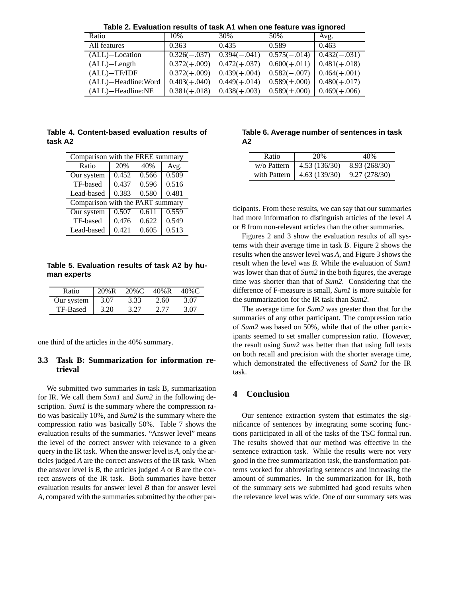| <u>Iable 2. Lydiualiuli Iesuits UI lask AT Wileli UIIe Ieatule Was Iyiluleu</u> |                 |                 |                  |                 |  |
|---------------------------------------------------------------------------------|-----------------|-----------------|------------------|-----------------|--|
| Ratio                                                                           | 10%             | 30%             | 50%              | Avg.            |  |
| All features                                                                    | 0.363           | 0.435           | 0.589            | 0.463           |  |
| $(ALL)$ -Location                                                               | $0.326(-0.037)$ | $0.394(-0.041)$ | $0.575(-.014)$   | $0.432(-0.031)$ |  |
| $(ALL)$ -Length                                                                 | $0.372(+.009)$  | $0.472(+0.037)$ | $0.600(+.011)$   | $0.481(+.018)$  |  |
| $(ALL)$ -TF/IDF                                                                 | $0.372(+.009)$  | $0.439(+0.004)$ | $0.582(-.007)$   | $0.464(+.001)$  |  |
| (ALL)-Headline: Word                                                            | $0.403(+0.040)$ | $0.449(+0.014)$ | $0.589(\pm.000)$ | $0.480(+.017)$  |  |
| (ALL)-Headline:NE                                                               | $0.381(+.018)$  | $0.438(+0.003)$ | $0.589(\pm.000)$ | $0.469(+0.006)$ |  |

**Table 2. Evaluation results of task A1 when one feature was ignored**

**Table 4. Content-based evaluation results of task A2**

| Comparison with the FREE summary |       |       |       |  |  |
|----------------------------------|-------|-------|-------|--|--|
| Ratio                            | 20%   | 40%   | Avg.  |  |  |
| Our system                       | 0.452 | 0.566 | 0.509 |  |  |
| TF-based                         | 0.437 | 0.596 | 0.516 |  |  |
| Lead-based                       | 0.383 | 0.580 | 0.481 |  |  |
| Comparison with the PART summary |       |       |       |  |  |
| Our system                       | 0.507 | 0.611 | 0.559 |  |  |
| TF-based                         | 0.476 | 0.622 | 0.549 |  |  |
| Lead-based                       | 0.421 | 0.605 | 0.513 |  |  |

## **Table 5. Evaluation results of task A2 by human experts**

| Ratio      | 20%R | $20\%$ C | 40%R | 40%C |
|------------|------|----------|------|------|
| Our system | 3.07 | 3.33     | 2.60 | 3.07 |
| TF-Based   | 3.20 | 3.27     | 2.77 | 3.07 |

one third of the articles in the 40% summary.

## **3.3 Task B: Summarization for information retrieval**

We submitted two summaries in task B, summarization for IR. We call them *Sum1* and *Sum2* in the following description. *Sum1* is the summary where the compression ratio was basically 10%, and *Sum2* is the summary where the compression ratio was basically 50%. Table 7 shows the evaluation results of the summaries. "Answer level" means the level of the correct answer with relevance to a given query in the IR task. When the answer level is *A*, only the articles judged *A* are the correct answers of the IR task. When the answer level is *B*, the articles judged *A* or *B* are the correct answers of the IR task. Both summaries have better evaluation results for answer level *B* than for answer level *A*, compared with the summaries submitted by the other par-

### **Table 6. Average number of sentences in task A2**

| Ratio | 20%                           | 40%           |
|-------|-------------------------------|---------------|
|       | w/o Pattern   $4.53$ (136/30) | 8.93 (268/30) |
|       | with Pattern   $4.63(139/30)$ | 9.27 (278/30) |

ticipants. From these results, we can say that our summaries had more information to distinguish articles of the level *A* or *B* from non-relevant articles than the other summaries.

Figures 2 and 3 show the evaluation results of all systems with their average time in task B. Figure 2 shows the results when the answer level was *A*, and Figure 3 shows the result when the level was *B*. While the evaluation of *Sum1* was lower than that of *Sum2* in the both figures, the average time was shorter than that of *Sum2*. Considering that the difference of F-measure is small, *Sum1* is more suitable for the summarization for the IR task than *Sum2*.

The average time for *Sum2* was greater than that for the summaries of any other participant. The compression ratio of *Sum2* was based on 50%, while that of the other participants seemed to set smaller compression ratio. However, the result using *Sum2* was better than that using full texts on both recall and precision with the shorter average time, which demonstrated the effectiveness of *Sum2* for the IR task.

# **4 Conclusion**

Our sentence extraction system that estimates the significance of sentences by integrating some scoring functions participated in all of the tasks of the TSC formal run. The results showed that our method was effective in the sentence extraction task. While the results were not very good in the free summarization task, the transformation patterns worked for abbreviating sentences and increasing the amount of summaries. In the summarization for IR, both of the summary sets we submitted had good results when the relevance level was wide. One of our summary sets was